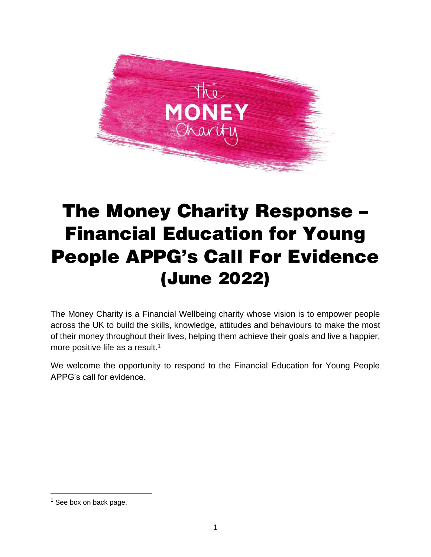

# The Money Charity Response – Financial Education for Young People APPG's Call For Evidence (June 2022)

The Money Charity is a Financial Wellbeing charity whose vision is to empower people across the UK to build the skills, knowledge, attitudes and behaviours to make the most of their money throughout their lives, helping them achieve their goals and live a happier, more positive life as a result.<sup>1</sup>

We welcome the opportunity to respond to the Financial Education for Young People APPG's call for evidence.

 $1$  See box on back page.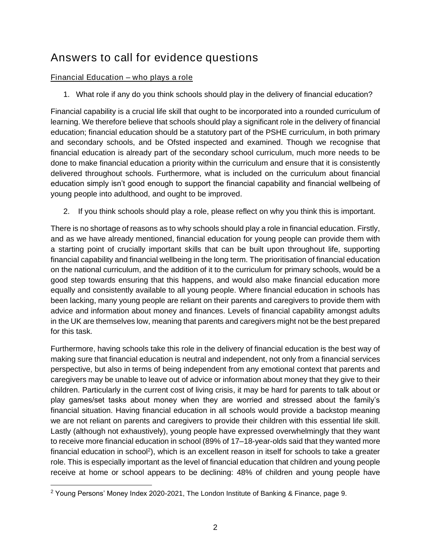# Answers to call for evidence questions

## Financial Education – who plays a role

*1. What role if any do you think schools should play in the delivery of financial education?* 

Financial capability is a crucial life skill that ought to be incorporated into a rounded curriculum of learning. We therefore believe that schools should play a significant role in the delivery of financial education; financial education should be a statutory part of the PSHE curriculum, in both primary and secondary schools, and be Ofsted inspected and examined. Though we recognise that financial education is already part of the secondary school curriculum, much more needs to be done to make financial education a priority within the curriculum and ensure that it is consistently delivered throughout schools. Furthermore, what is included on the curriculum about financial education simply isn't good enough to support the financial capability and financial wellbeing of young people into adulthood, and ought to be improved.

*2. If you think schools should play a role, please reflect on why you think this is important.* 

There is no shortage of reasons as to why schools should play a role in financial education. Firstly, and as we have already mentioned, financial education for young people can provide them with a starting point of crucially important skills that can be built upon throughout life, supporting financial capability and financial wellbeing in the long term. The prioritisation of financial education on the national curriculum, and the addition of it to the curriculum for primary schools, would be a good step towards ensuring that this happens, and would also make financial education more equally and consistently available to all young people. Where financial education in schools has been lacking, many young people are reliant on their parents and caregivers to provide them with advice and information about money and finances. Levels of financial capability amongst adults in the UK are themselves low, meaning that parents and caregivers might not be the best prepared for this task.

Furthermore, having schools take this role in the delivery of financial education is the best way of making sure that financial education is neutral and independent, not only from a financial services perspective, but also in terms of being independent from any emotional context that parents and caregivers may be unable to leave out of advice or information about money that they give to their children. Particularly in the current cost of living crisis, it may be hard for parents to talk about or play games/set tasks about money when they are worried and stressed about the family's financial situation. Having financial education in all schools would provide a backstop meaning we are not reliant on parents and caregivers to provide their children with this essential life skill. Lastly (although not exhaustively), young people have expressed overwhelmingly that they want to receive more financial education in school (89% of 17–18-year-olds said that they wanted more financial education in school<sup>2</sup>), which is an excellent reason in itself for schools to take a greater role. This is especially important as the level of financial education that children and young people receive at home or school appears to be declining: 48% of children and young people have

<sup>&</sup>lt;sup>2</sup> Young Persons' Money Index 2020-2021, The London Institute of Banking & Finance, page 9.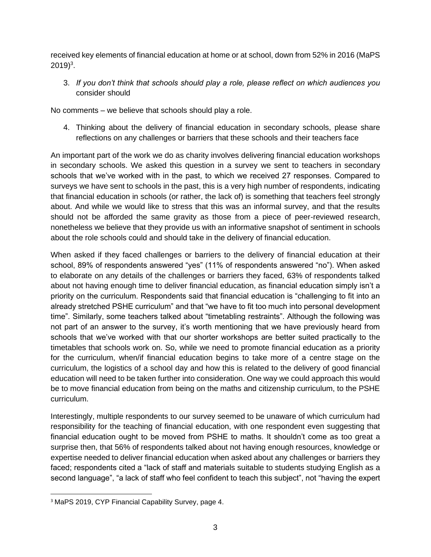received key elements of financial education at home or at school, down from 52% in 2016 (MaPS  $2019)^3$ .

*3. If you don't think that schools should play a role, please reflect on which audiences you consider should* 

No comments – we believe that schools should play a role.

*4. Thinking about the delivery of financial education in secondary schools, please share reflections on any challenges or barriers that these schools and their teachers face*

An important part of the work we do as charity involves delivering financial education workshops in secondary schools. We asked this question in a survey we sent to teachers in secondary schools that we've worked with in the past, to which we received 27 responses. Compared to surveys we have sent to schools in the past, this is a very high number of respondents, indicating that financial education in schools (or rather, the lack of) is something that teachers feel strongly about. And while we would like to stress that this was an informal survey, and that the results should not be afforded the same gravity as those from a piece of peer-reviewed research, nonetheless we believe that they provide us with an informative snapshot of sentiment in schools about the role schools could and should take in the delivery of financial education.

When asked if they faced challenges or barriers to the delivery of financial education at their school, 89% of respondents answered "yes" (11% of respondents answered "no"). When asked to elaborate on any details of the challenges or barriers they faced, 63% of respondents talked about not having enough time to deliver financial education, as financial education simply isn't a priority on the curriculum. Respondents said that financial education is "challenging to fit into an already stretched PSHE curriculum" and that "we have to fit too much into personal development time". Similarly, some teachers talked about "timetabling restraints". Although the following was not part of an answer to the survey, it's worth mentioning that we have previously heard from schools that we've worked with that our shorter workshops are better suited practically to the timetables that schools work on. So, while we need to promote financial education as a priority for the curriculum, when/if financial education begins to take more of a centre stage on the curriculum, the logistics of a school day and how this is related to the delivery of good financial education will need to be taken further into consideration. One way we could approach this would be to move financial education from being on the maths and citizenship curriculum, to the PSHE curriculum.

Interestingly, multiple respondents to our survey seemed to be unaware of which curriculum had responsibility for the teaching of financial education, with one respondent even suggesting that financial education ought to be moved from PSHE to maths. It shouldn't come as too great a surprise then, that 56% of respondents talked about not having enough resources, knowledge or expertise needed to deliver financial education when asked about any challenges or barriers they faced; respondents cited a "lack of staff and materials suitable to students studying English as a second language", "a lack of staff who feel confident to teach this subject", not "having the expert

<sup>3</sup> MaPS 2019, *CYP Financial Capability Survey*, page 4.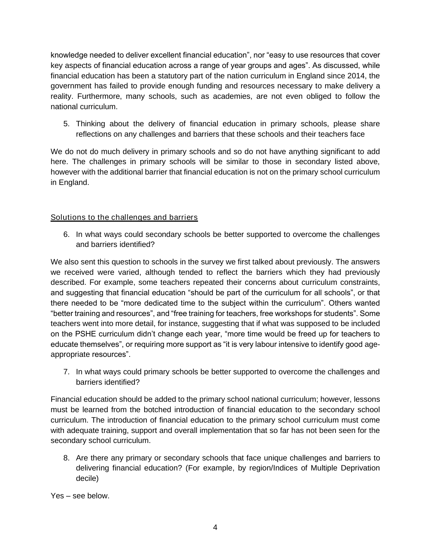knowledge needed to deliver excellent financial education", nor "easy to use resources that cover key aspects of financial education across a range of year groups and ages". As discussed, while financial education has been a statutory part of the nation curriculum in England since 2014, the government has failed to provide enough funding and resources necessary to make delivery a reality. Furthermore, many schools, such as academies, are not even obliged to follow the national curriculum.

*5. Thinking about the delivery of financial education in primary schools, please share reflections on any challenges and barriers that these schools and their teachers face*

We do not do much delivery in primary schools and so do not have anything significant to add here. The challenges in primary schools will be similar to those in secondary listed above, however with the additional barrier that financial education is not on the primary school curriculum in England.

### Solutions to the challenges and barriers

6. *In what ways could secondary schools be better supported to overcome the challenges and barriers identified?*

We also sent this question to schools in the survey we first talked about previously. The answers we received were varied, although tended to reflect the barriers which they had previously described. For example, some teachers repeated their concerns about curriculum constraints, and suggesting that financial education "should be part of the curriculum for all schools", or that there needed to be "more dedicated time to the subject within the curriculum". Others wanted "better training and resources", and "free training for teachers, free workshops for students". Some teachers went into more detail, for instance, suggesting that if what was supposed to be included on the PSHE curriculum didn't change each year, "more time would be freed up for teachers to educate themselves", or requiring more support as "it is very labour intensive to identify good ageappropriate resources".

*7. In what ways could primary schools be better supported to overcome the challenges and barriers identified?*

Financial education should be added to the primary school national curriculum; however, lessons must be learned from the botched introduction of financial education to the secondary school curriculum. The introduction of financial education to the primary school curriculum must come with adequate training, support and overall implementation that so far has not been seen for the secondary school curriculum.

*8. Are there any primary or secondary schools that face unique challenges and barriers to delivering financial education? (For example, by region/Indices of Multiple Deprivation decile)*

Yes – see below.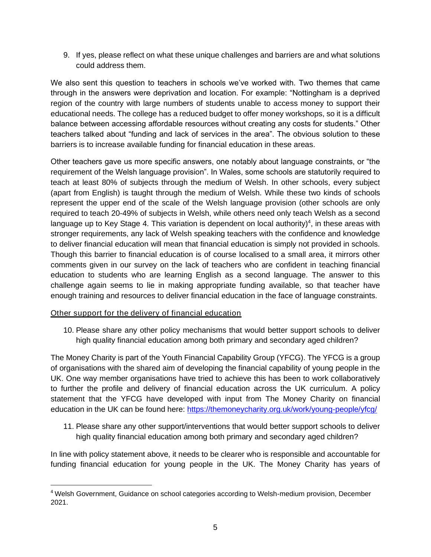*9. If yes, please reflect on what these unique challenges and barriers are and what solutions could address them.* 

We also sent this question to teachers in schools we've worked with. Two themes that came through in the answers were deprivation and location. For example: "Nottingham is a deprived region of the country with large numbers of students unable to access money to support their educational needs. The college has a reduced budget to offer money workshops, so it is a difficult balance between accessing affordable resources without creating any costs for students." Other teachers talked about "funding and lack of services in the area". The obvious solution to these barriers is to increase available funding for financial education in these areas.

Other teachers gave us more specific answers, one notably about language constraints, or "the requirement of the Welsh language provision". In Wales, some schools are statutorily required to teach at least 80% of subjects through the medium of Welsh. In other schools, every subject (apart from English) is taught through the medium of Welsh. While these two kinds of schools represent the upper end of the scale of the Welsh language provision (other schools are only required to teach 20-49% of subjects in Welsh, while others need only teach Welsh as a second language up to Key Stage 4. This variation is dependent on local authority)<sup>4</sup>, in these areas with stronger requirements, any lack of Welsh speaking teachers with the confidence and knowledge to deliver financial education will mean that financial education is simply not provided in schools. Though this barrier to financial education is of course localised to a small area, it mirrors other comments given in our survey on the lack of teachers who are confident in teaching financial education to students who are learning English as a second language. The answer to this challenge again seems to lie in making appropriate funding available, so that teacher have enough training and resources to deliver financial education in the face of language constraints.

### Other support for the delivery of financial education

*10. Please share any other policy mechanisms that would better support schools to deliver high quality financial education among both primary and secondary aged children?*

The Money Charity is part of the Youth Financial Capability Group (YFCG). The YFCG is a group of organisations with the shared aim of developing the financial capability of young people in the UK. One way member organisations have tried to achieve this has been to work collaboratively to further the profile and delivery of financial education across the UK curriculum. A policy statement that the YFCG have developed with input from The Money Charity on financial education in the UK can be found here:<https://themoneycharity.org.uk/work/young-people/yfcg/>

*11. Please share any other support/interventions that would better support schools to deliver high quality financial education among both primary and secondary aged children?*

In line with policy statement above, it needs to be clearer who is responsible and accountable for funding financial education for young people in the UK. The Money Charity has years of

<sup>&</sup>lt;sup>4</sup> Welsh Government, Guidance on school categories according to Welsh-medium provision, December 2021.